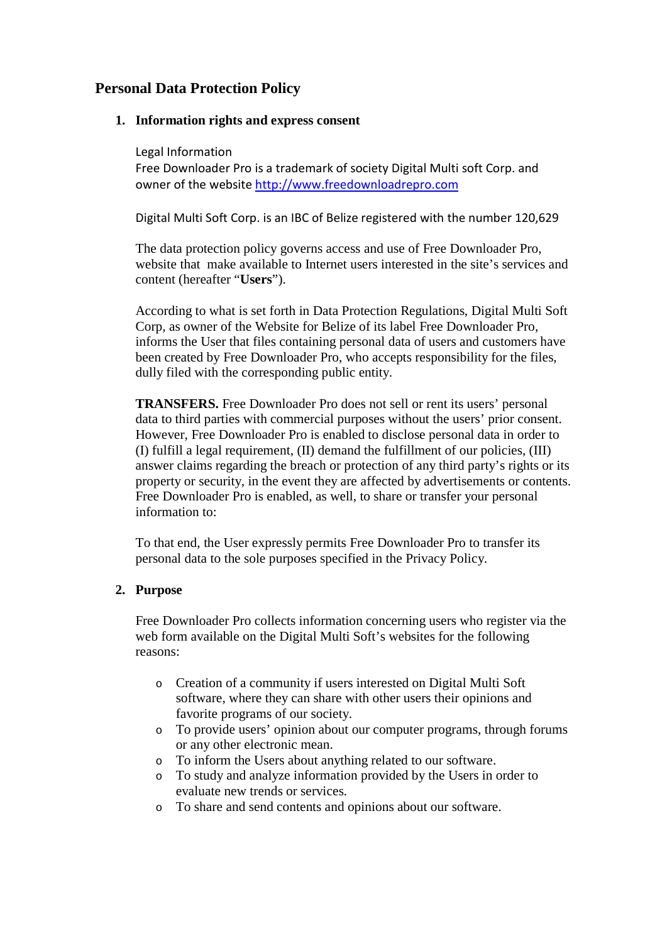# **Personal Data Protection Policy**

# **1. Information rights and express consent**

Legal Information

Free Downloader Pro is a trademark of society Digital Multi soft Corp. and owner of the website [http://www.freedownloadrepro.com](http://www.freedownloadrepro.com/)

Digital Multi Soft Corp. is an IBC of Belize registered with the number 120,629

The data protection policy governs access and use of Free Downloader Pro, website that make available to Internet users interested in the site's services and content (hereafter "**Users**").

According to what is set forth in Data Protection Regulations, Digital Multi Soft Corp, as owner of the Website for Belize of its label Free Downloader Pro, informs the User that files containing personal data of users and customers have been created by Free Downloader Pro, who accepts responsibility for the files, dully filed with the corresponding public entity.

**TRANSFERS.** Free Downloader Pro does not sell or rent its users' personal data to third parties with commercial purposes without the users' prior consent. However, Free Downloader Pro is enabled to disclose personal data in order to (I) fulfill a legal requirement, (II) demand the fulfillment of our policies, (III) answer claims regarding the breach or protection of any third party's rights or its property or security, in the event they are affected by advertisements or contents. Free Downloader Pro is enabled, as well, to share or transfer your personal information to:

To that end, the User expressly permits Free Downloader Pro to transfer its personal data to the sole purposes specified in the Privacy Policy.

# **2. Purpose**

Free Downloader Pro collects information concerning users who register via the web form available on the Digital Multi Soft's websites for the following reasons:

- o Creation of a community if users interested on Digital Multi Soft software, where they can share with other users their opinions and favorite programs of our society.
- o To provide users' opinion about our computer programs, through forums or any other electronic mean.
- o To inform the Users about anything related to our software.
- o To study and analyze information provided by the Users in order to evaluate new trends or services.
- o To share and send contents and opinions about our software.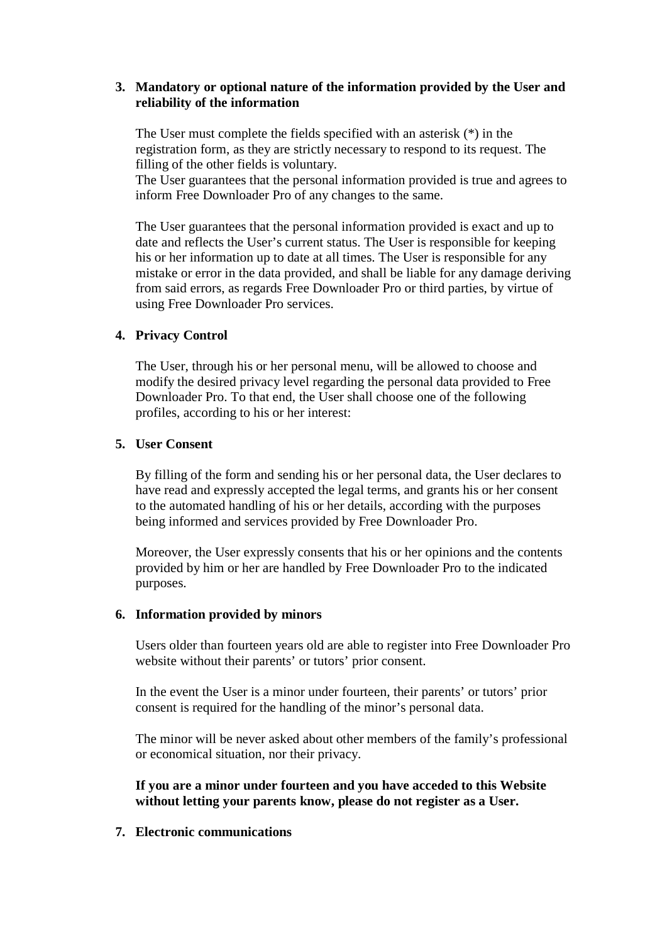# **3. Mandatory or optional nature of the information provided by the User and reliability of the information**

The User must complete the fields specified with an asterisk (\*) in the registration form, as they are strictly necessary to respond to its request. The filling of the other fields is voluntary.

The User guarantees that the personal information provided is true and agrees to inform Free Downloader Pro of any changes to the same.

The User guarantees that the personal information provided is exact and up to date and reflects the User's current status. The User is responsible for keeping his or her information up to date at all times. The User is responsible for any mistake or error in the data provided, and shall be liable for any damage deriving from said errors, as regards Free Downloader Pro or third parties, by virtue of using Free Downloader Pro services.

## **4. Privacy Control**

The User, through his or her personal menu, will be allowed to choose and modify the desired privacy level regarding the personal data provided to Free Downloader Pro. To that end, the User shall choose one of the following profiles, according to his or her interest:

## **5. User Consent**

By filling of the form and sending his or her personal data, the User declares to have read and expressly accepted the legal terms, and grants his or her consent to the automated handling of his or her details, according with the purposes being informed and services provided by Free Downloader Pro.

Moreover, the User expressly consents that his or her opinions and the contents provided by him or her are handled by Free Downloader Pro to the indicated purposes.

## **6. Information provided by minors**

Users older than fourteen years old are able to register into Free Downloader Pro website without their parents' or tutors' prior consent.

In the event the User is a minor under fourteen, their parents' or tutors' prior consent is required for the handling of the minor's personal data.

The minor will be never asked about other members of the family's professional or economical situation, nor their privacy.

**If you are a minor under fourteen and you have acceded to this Website without letting your parents know, please do not register as a User.**

## **7. Electronic communications**